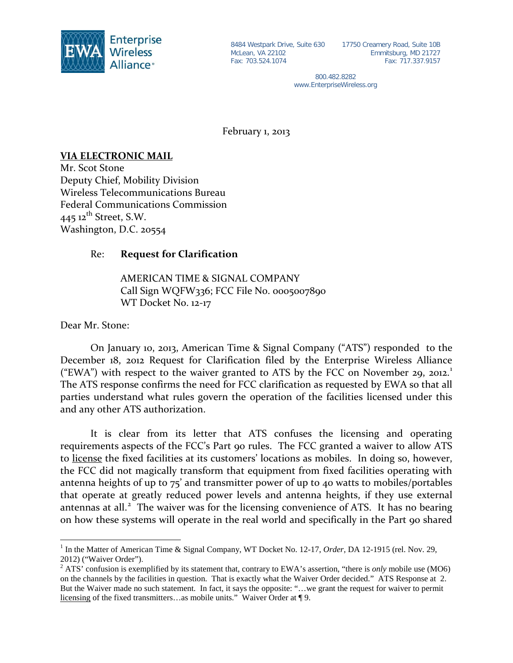

8484 Westpark Drive, Suite 630 17750 Creamery Road, Suite 10B Emmitsburg, MD 21727 Fax: 717.337.9157

> 800.482.8282 www.EnterpriseWireless.org

February 1, 2013

## **VIA ELECTRONIC MAIL**

Mr. Scot Stone Deputy Chief, Mobility Division Wireless Telecommunications Bureau Federal Communications Commission  $445$  12<sup>th</sup> Street, S.W. Washington, D.C. 20554

## Re: **Request for Clarification**

AMERICAN TIME & SIGNAL COMPANY Call Sign WQFW336; FCC File No. 0005007890 WT Docket No. 12-17

Dear Mr. Stone:

On January 10, 2013, American Time & Signal Company ("ATS") responded to the December 18, 2012 Request for Clarification filed by the Enterprise Wireless Alliance ("EWA") with respect to the waiver granted to ATS by the FCC on November 29, 20[1](#page-0-0)2.<sup>1</sup> The ATS response confirms the need for FCC clarification as requested by EWA so that all parties understand what rules govern the operation of the facilities licensed under this and any other ATS authorization.

It is clear from its letter that ATS confuses the licensing and operating requirements aspects of the FCC's Part 90 rules. The FCC granted a waiver to allow ATS to license the fixed facilities at its customers' locations as mobiles. In doing so, however, the FCC did not magically transform that equipment from fixed facilities operating with antenna heights of up to 75' and transmitter power of up to 40 watts to mobiles/portables that operate at greatly reduced power levels and antenna heights, if they use external antennas at all.<sup>[2](#page-0-1)</sup> The waiver was for the licensing convenience of ATS. It has no bearing on how these systems will operate in the real world and specifically in the Part 90 shared

 <sup>1</sup> In the Matter of American Time & Signal Company, WT Docket No. 12-17, *Order*, DA 12-1915 (rel. Nov. 29, 2012) ("Waiver Order").

<span id="page-0-1"></span><span id="page-0-0"></span><sup>2</sup> ATS' confusion is exemplified by its statement that, contrary to EWA's assertion, "there is *only* mobile use (MO6) on the channels by the facilities in question. That is exactly what the Waiver Order decided." ATS Response at 2. But the Waiver made no such statement. In fact, it says the opposite: "…we grant the request for waiver to permit licensing of the fixed transmitters…as mobile units." Waiver Order at ¶ 9.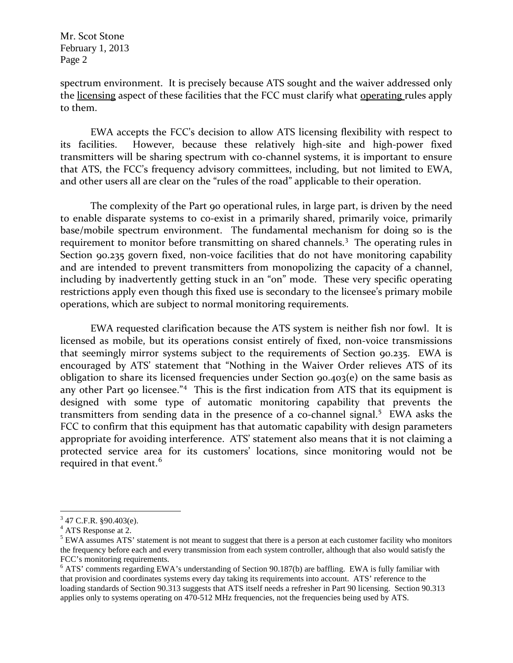Mr. Scot Stone February 1, 2013 Page 2

spectrum environment. It is precisely because ATS sought and the waiver addressed only the licensing aspect of these facilities that the FCC must clarify what operating rules apply to them.

EWA accepts the FCC's decision to allow ATS licensing flexibility with respect to its facilities. However, because these relatively high-site and high-power fixed transmitters will be sharing spectrum with co-channel systems, it is important to ensure that ATS, the FCC's frequency advisory committees, including, but not limited to EWA, and other users all are clear on the "rules of the road" applicable to their operation.

The complexity of the Part 90 operational rules, in large part, is driven by the need to enable disparate systems to co-exist in a primarily shared, primarily voice, primarily base/mobile spectrum environment. The fundamental mechanism for doing so is the requirement to monitor before transmitting on shared channels.<sup>[3](#page-1-0)</sup> The operating rules in Section 90.235 govern fixed, non-voice facilities that do not have monitoring capability and are intended to prevent transmitters from monopolizing the capacity of a channel, including by inadvertently getting stuck in an "on" mode. These very specific operating restrictions apply even though this fixed use is secondary to the licensee's primary mobile operations, which are subject to normal monitoring requirements.

EWA requested clarification because the ATS system is neither fish nor fowl. It is licensed as mobile, but its operations consist entirely of fixed, non-voice transmissions that seemingly mirror systems subject to the requirements of Section 90.235. EWA is encouraged by ATS' statement that "Nothing in the Waiver Order relieves ATS of its obligation to share its licensed frequencies under Section 90.403(e) on the same basis as any other Part 90 licensee."<sup>[4](#page-1-1)</sup> This is the first indication from ATS that its equipment is designed with some type of automatic monitoring capability that prevents the transmitters from sending data in the presence of a co-channel signal.<sup>[5](#page-1-2)</sup> EWA asks the FCC to confirm that this equipment has that automatic capability with design parameters appropriate for avoiding interference. ATS' statement also means that it is not claiming a protected service area for its customers' locations, since monitoring would not be required in that event.<sup>[6](#page-1-3)</sup>

 $3$  47 C.F.R. §90.403(e).

<span id="page-1-1"></span><span id="page-1-0"></span><sup>&</sup>lt;sup>4</sup> ATS Response at 2.

<span id="page-1-2"></span><sup>&</sup>lt;sup>5</sup> EWA assumes ATS' statement is not meant to suggest that there is a person at each customer facility who monitors the frequency before each and every transmission from each system controller, although that also would satisfy the FCC's monitoring requirements.

<span id="page-1-3"></span><sup>6</sup> ATS' comments regarding EWA's understanding of Section 90.187(b) are baffling. EWA is fully familiar with that provision and coordinates systems every day taking its requirements into account. ATS' reference to the loading standards of Section 90.313 suggests that ATS itself needs a refresher in Part 90 licensing. Section 90.313 applies only to systems operating on 470-512 MHz frequencies, not the frequencies being used by ATS.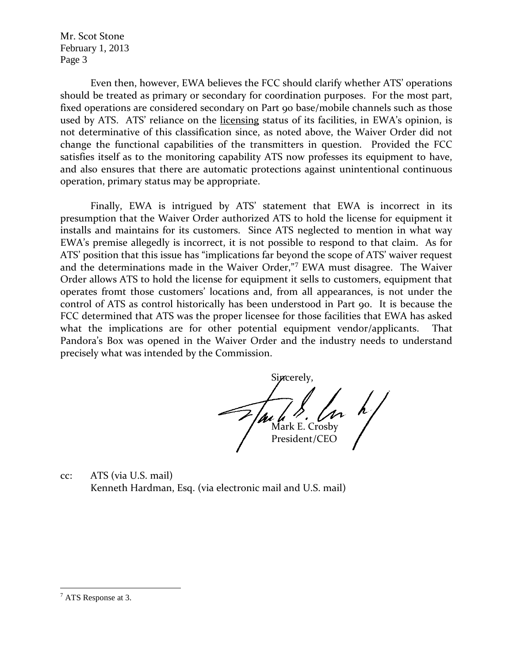Mr. Scot Stone February 1, 2013 Page 3

Even then, however, EWA believes the FCC should clarify whether ATS' operations should be treated as primary or secondary for coordination purposes. For the most part, fixed operations are considered secondary on Part 90 base/mobile channels such as those used by ATS. ATS' reliance on the licensing status of its facilities, in EWA's opinion, is not determinative of this classification since, as noted above, the Waiver Order did not change the functional capabilities of the transmitters in question. Provided the FCC satisfies itself as to the monitoring capability ATS now professes its equipment to have, and also ensures that there are automatic protections against unintentional continuous operation, primary status may be appropriate.

Finally, EWA is intrigued by ATS' statement that EWA is incorrect in its presumption that the Waiver Order authorized ATS to hold the license for equipment it installs and maintains for its customers. Since ATS neglected to mention in what way EWA's premise allegedly is incorrect, it is not possible to respond to that claim. As for ATS' position that this issue has "implications far beyond the scope of ATS' waiver request and the determinations made in the Waiver Order,"[7](#page-2-0) EWA must disagree. The Waiver Order allows ATS to hold the license for equipment it sells to customers, equipment that operates fromt those customers' locations and, from all appearances, is not under the control of ATS as control historically has been understood in Part 90. It is because the FCC determined that ATS was the proper licensee for those facilities that EWA has asked what the implications are for other potential equipment vendor/applicants. That Pandora's Box was opened in the Waiver Order and the industry needs to understand precisely what was intended by the Commission.

Sincerely,  $\left\{\begin{array}{c} \lambda \\ m \lambda \end{array}\right.$  Mark E. Crosby President/CEO

cc: ATS (via U.S. mail) Kenneth Hardman, Esq. (via electronic mail and U.S. mail)

<span id="page-2-0"></span> $<sup>7</sup>$  ATS Response at 3.</sup>